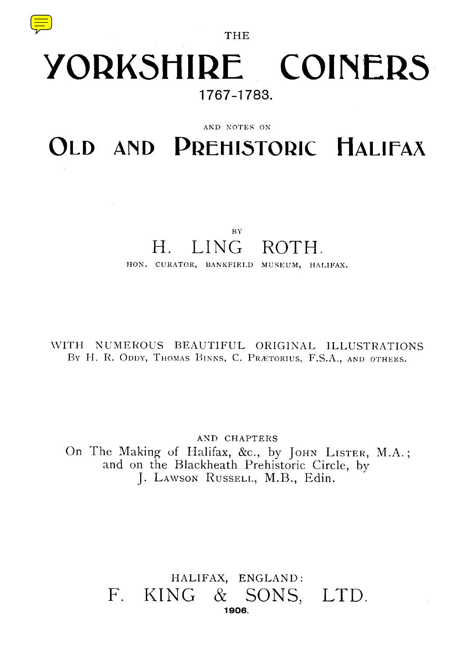

THE

# YORKSHIRE COINERS **1767-1783 .**

#### AND NOTES ON

OLD AND PREHISTORIC HALIFAX

## B Y H. LING ROTH.

HON. CURATOR, BANKFIELD MUSEUM, HALIFAX.

wITH NUMEROUS BEAUTIFUL ORIGINAL ILLUSTRATIONS BY H. R. ODDY, THOMAS BINNS, C. PRÆTORIUS, F.S.A., AND OTHERS.

AND CHAPTERS On The Making of Halifax, &c., by JOHN LISTER, M.A.; and on the Blackheath Prehistoric Circle, by J. LAWSON RUSSELL, M.B., Edin.

## HALIFAX, ENGLAND : F. KING & SONS, LTD. **1906.**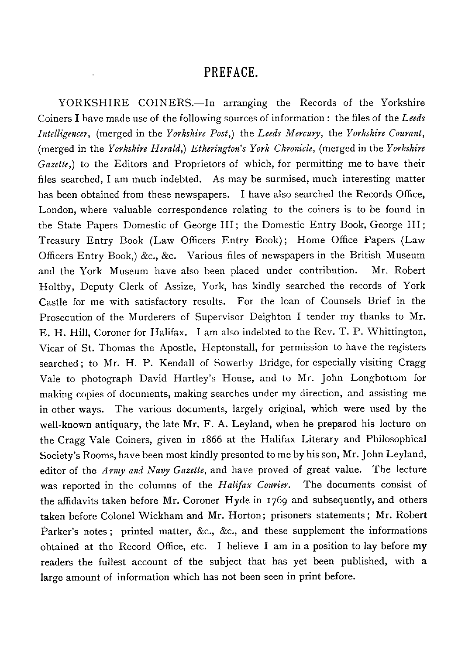## PREFACE.

YORKSHIRE COINERS.—In arranging the Records of the Yorkshire Coiners I have made use of the following sources of information : the files of the *Leeds Intelligencer,* (merged in the *Yorkshire Post,)* the *Leeds Mercury,* the *Yorkshire Courant ,* (merged in the *Yorkshire Herald,) Etherington 's York Chronicle,* (merged in the *Yorkshire Gazette,)* to the Editors and Proprietors of which, for permitting me to have their files searched, I am much indebted. As may be surmised, much interesting matter has been obtained from these newspapers. I have also searched the Records Office, London, where valuable correspondence relating to the coiners is to be found in the State Papers Domestic of George III ; the Domestic Entry Book, George III; Treasury Entry Book (Law *Officers* Entry Book) ; Home Office Papers (Law Officers Entry Book,) &c., &c. Various files of newspapers in the British Museum and the York Museum have also been placed under contribution. Mr. Robert Holtby, Deputy Clerk of Assize, York, has kindly searched the records of York Castle for me with satisfactory results. For the loan of Counsels Brief in the Prosecution of the Murderers of Supervisor Deighton I tender my thanks to Mr. E. H. Hill, Coroner for Halifax. I am also indebted to the Rev. T. P. Whittington, Vicar of St. Thomas the Apostle, Heptonstall, for permission to have the registers searched; to Mr. H. P. Kendall of Sowerby Bridge, for especially visiting Cragg Vale to photograph David Hartley 's House, and to Mr. John Longbottom for making copies of documents, making searches under my direction, and assisting me in other ways. The various documents, largely original, which were used by the well-known antiquary, the late Mr. F. A. Leyland, when he prepared his lecture on the Cragg Vale Coiners, given in 1866 at the Halifax Literary and Philosophical Society 's Rooms, have been most kindly presented to me by his son, Mr . John Leyland, editor of the *Army and Navy Gazette,* and have proved of great value. The lecture was reported in the columns of the *Halifax Courier*. The documents consist of the affidavits taken before Mr. Coroner Hyde in 1769 and subsequently, and others taken before Colonel Wickham and Mr. Horton; prisoners statements; Mr. Robert Parker's notes; printed matter, &c., &c., and these supplement the informations obtained at the Record Office, etc. I believe I am in a position to lay before my readers the fullest account of the subject that has yet been published, with a large amount of information which has not been seen in print before.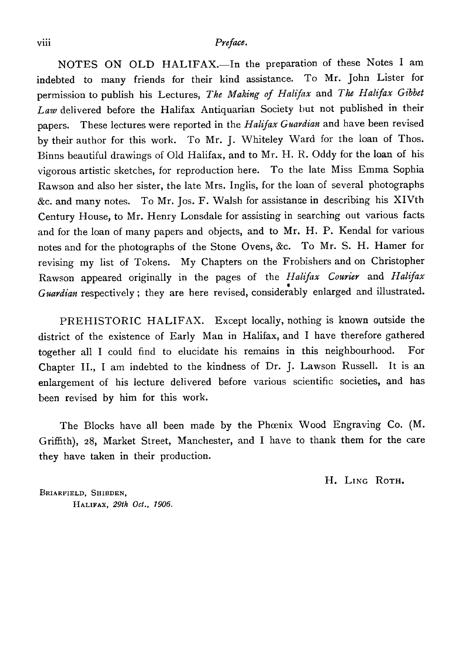#### viii *Preface.*

NOTES ON OLD HALIFAX.-In the preparation of these Notes I am indebted to many friends for their kind assistance . To Mr. John Lister for permission to publish his Lectures, *The Making of Halifax* and *The Halifax Gibbet* Law delivered before the Halifax Antiquarian Society but not published in their papers. These lectures were reported in the *Halifax Guardian* and have been revised by their author for this work. To Mr. J. Whiteley Ward for the loan of Thos. Binns beautiful drawings of Old Halifax, and to Mr. H. R. Oddy for the loan of his vigorous artistic sketches, for reproduction here. To the late Miss Emma Sophia Rawson and also her sister, the late Mrs. Inglis, for the loan of several photographs &c. and many notes. To Mr. Jos. F. Walsh for assistance in describing his XIVth Century House, to Mr. Henry Lonsdale for assisting in searching out various facts and for the loan of many papers and objects, and to Mr. H. P. Kendal for various notes and for the photographs of the Stone Ovens, &c. To Mr. S. H. Hamer for revising my list of Tokens. My Chapters on the Frobishers and on Christopher Rawson appeared originally in the pages of the *Halifax Courier* and *Halifax Guardian* respectively ; they are here revised, considerably enlarged and illustrated.

PREHISTORIC HALIFAX. Except locally, nothing is known outside the district of the existence of Early Man in Halifax, and I have therefore gathered together all I could find to elucidate his remains in this neighbourhood . For Chapter II., I am indebted to the kindness of Dr. J. Lawson Russell. It is an enlargement of his lecture delivered before various scientific societies, and has been revised by him for this work.

The Blocks have all been made by the Phoenix Wood Engraving Co. (M. Griffith), 28, Market Street, Manchester, and I have to thank them for the care they have taken in their production.

H. LING ROTH.

**BRIARFIELD, SHIBDEN , HALIFAX.** 29th Oct., 1906.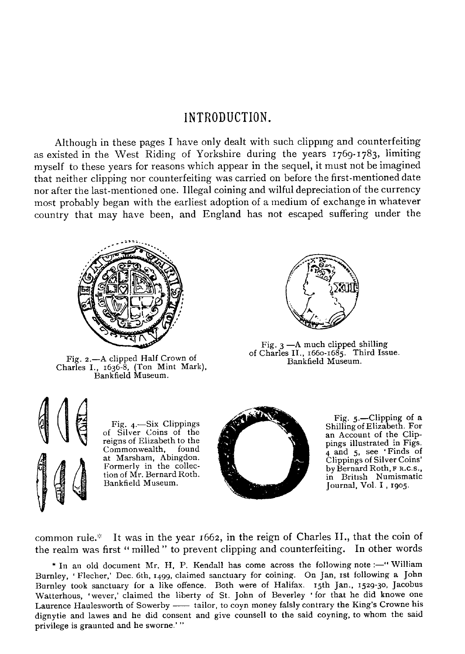### INTRODUCTION .

Although in these pages I have only dealt with such clipping and counterfeiting as existed in the West Riding of Yorkshire during the years 1769-1783, limiting myself to these years for reasons which appear in the sequel, it must not be imagined that neither clipping nor counterfeiting was carried on before the first-mentioned date nor after the last-mentioned one . Illegal coining and wilful depreciation of the currency most probably began with the earliest adoption of a medium of exchange in whatever country that may have been, and England has not escaped suffering under the



Fig. z .—A clipped Half Crown of Charles I., 1636-8, (Ton Mint Mark), Bankfield Museum.



Fig. 3 —A much clipped shilling of Charles II., 1660-1685. Third Issue. Bankfield Museum.



Fig. 4.—Six Clippings of Silver Coins of the reigns of Elizabeth to the Commonwealth, found at Marsham, Abingdon. Formerly in the collection of Mr. Bernard Roth. Bankfield Museum.



Fig. 5.—Clipping of a<br>Shilling of Elizabeth. For an Account of the Clippings illustrated in Figs. 4 and 5, see 'Finds of Clippings of Silver Coins' by Bernard Roth, F R.C.S., in British Numismatic Journal, Vol. I , 1905.

common rule.\* It was in the year  $1662$ , in the reign of Charles II., that the coin of the realm was first " milled " to prevent clipping and counterfeiting. In other words

\* In an old document Mr. H, P. Kendall has come across the following note :—" William Burnley, 'Flecher,' Dec. 6th, 1499, claimed sanctuary for coining. On Jan, 1st following a John Burnley took sanctuary for a like offence . Both were of Halifax . 15th Jan., 1529-30, Jacobus Watterhous, 'wever,' claimed the liberty of St. John of Beverley ' for that he did knowe one Laurence Haulesworth of Sowerby - tailor, to coyn money falsly contrary the King's Crowne his dignytie and lawes and he did consent and give counsell to the said coyning, to whom the said privilege is graunted and he sworne.'"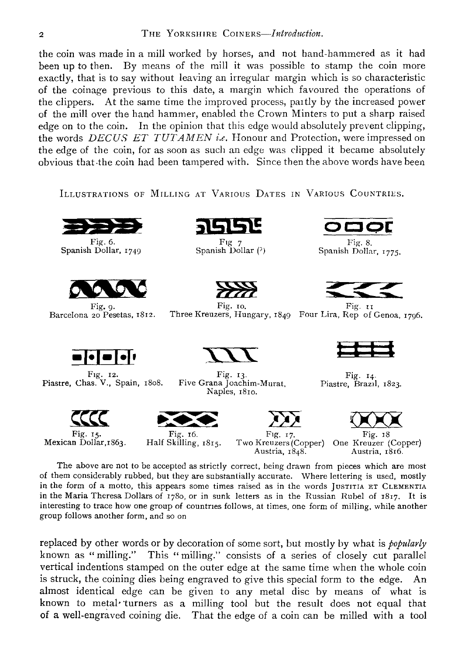the coin was made in a mill worked by horses, and not hand-hammered as it had been up to then. By means of the mill it was possible to stamp the coin more exactly, that is to say without leaving an irregular margin which is so characteristic of the coinage previous to this date, a margin which favoured the operations of the clippers. At the same time the improved process, partly by the increased power of the mill over the hand hammer, enabled the Crown Minters to put a sharp raised edge on to the coin. In the opinion that this edge would absolutely prevent clipping, the words *DECUS ET TUTAMEN i.e . Honour and Protection, were impressed o <sup>n</sup> the edge of the coin, for as soon as such an edge was clipped it became absoluteyy obvious that the coin had been tampered with. Since then the above words have been*

ILLUSTRATIONS OF MILLING AT VARIOUS DATES IN VARIOUS COUNTRIES.



Spanish Dollar, 1749





Fig. 12. Fig.  $\Box$  Fig. 13. Fig. 14. Piastre, Chas. V., Spain, 18o8. Five Grana Joachim-Murat, Piastre, Brazil, 1823.





Fig. 6. Fig.  $\frac{F \log 7}{F \log 7}$ <br>Fig. 1 Dollar, 1749 Spanish Dollar (?)



Fig. 9. Fig. 10. Fig. 10 Fig. 17<br>Barcelona 20 Pesetas, 1812. Three Kreuzers, Hungary, 1849 Four Lira, Rep of Genoa, 1796.

Fig. 8. Spanish Dollar, 1775.







Fig. 15. Fig. 16. Fig. 17. Fig. 18<br>Mexican Dollar,1863. Half Skilling, 1815. Two Kreuzers(Copper) One Kreuzer (Copper)<br>Austria. 1848. Austria. 1816. Austria, 1848.

Fig. 15. Fig. 16. Fig. 17. Fig. 18

The above are not to be accepted as strictly correct, being drawn from pieces which are most of them considerably rubbed, but they are substantially accurate . Where lettering is used, mostly in the form of a motto, this appears some times raised as in the words JUSTITIA ET CLEMENTIA in the Maria Theresa Dollars of 1780, or in sunk letters as in the Russian Rubel of 1817 . It is interesting to trace how one group of countries follows, at times, one form of milling, while another group follows another form, and so on

Naples, 181o.

replaced by other words or by decoration of some sort, but mostly by what is *popularly* known as " milling." This " milling." consists of a series of closely cut parallel vertical indentions stamped on the outer edge at the same time when the whole conn is struck, the coining dies being engraved to give this special form to the edge. An almost identical edge can be given to any metal disc by means of what is known to metal turners as a milling tool but the result does not equal that of a well-engraved coining die . That the edge of a coin can be milled with a tool